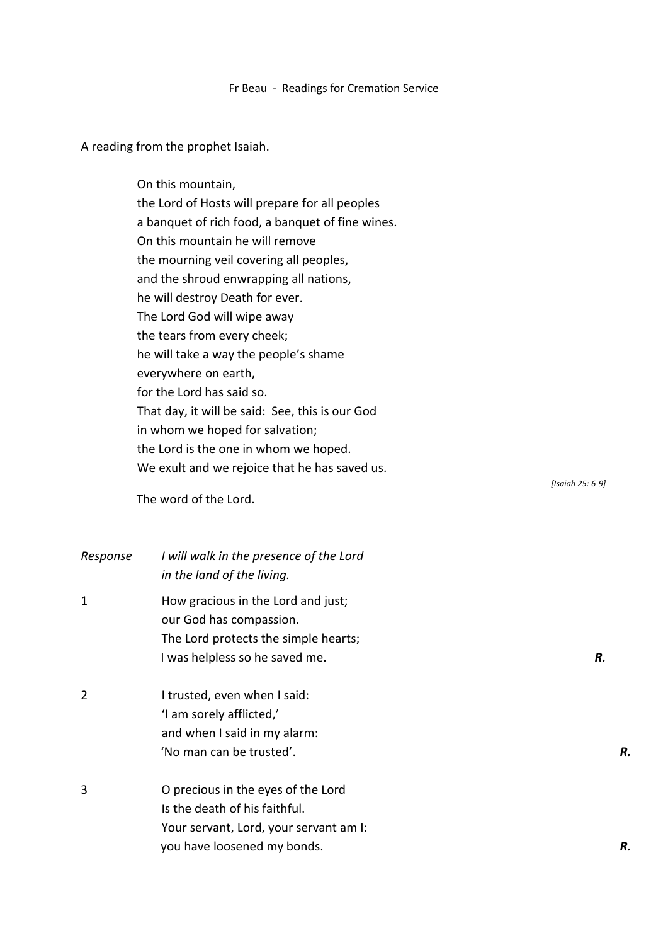## Fr Beau - Readings for Cremation Service

A reading from the prophet Isaiah.

On this mountain, the Lord of Hosts will prepare for all peoples a banquet of rich food, a banquet of fine wines. On this mountain he will remove the mourning veil covering all peoples, and the shroud enwrapping all nations, he will destroy Death for ever. The Lord God will wipe away the tears from every cheek; he will take a way the people's shame everywhere on earth, for the Lord has said so. That day, it will be said: See, this is our God in whom we hoped for salvation; the Lord is the one in whom we hoped. We exult and we rejoice that he has saved us. *[Isaiah 25: 6-9]* The word of the Lord. *Response I will walk in the presence of the Lord*

|                | in the land of the living.                                                                                                              |    |
|----------------|-----------------------------------------------------------------------------------------------------------------------------------------|----|
| 1              | How gracious in the Lord and just;<br>our God has compassion.<br>The Lord protects the simple hearts;<br>I was helpless so he saved me. | R. |
| $\overline{2}$ | I trusted, even when I said:<br>'I am sorely afflicted,'<br>and when I said in my alarm:<br>'No man can be trusted'.                    | R. |
| 3              | O precious in the eyes of the Lord<br>Is the death of his faithful.<br>Your servant, Lord, your servant am I:                           |    |
|                | you have loosened my bonds.                                                                                                             | R. |